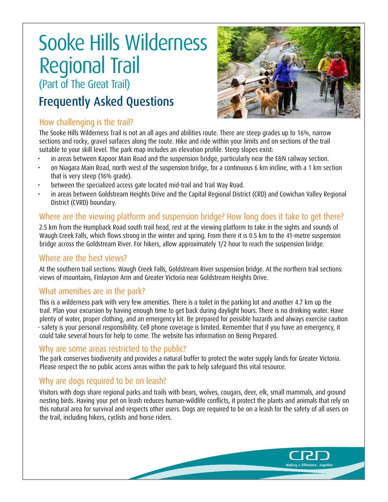# Sooke Hills Wilderness Regional Trail (Part of The Great Trail)

## Frequently Asked Questions

#### How challenging is the trail?

The Sooke Hills Wilderness Trail is not an all ages and abilities route. There are steep grades up to 16%, narrow sections and rocky, gravel surfaces along the route. Hike and ride within your limits and on sections of the trail suitable to yo[ur skill leve](https://www.crd.bc.ca/docs/default-source/crd-document-library/maps/parks-trails/sooke-hills-wilderness-the-great-trail-map.pdf%3Fsfvrsn%3De82a3bca_4)l. The park map includes an elevation profile. Steep slopes exist:

- in areas between Kapoor Main Road and the suspension bridge, particularly near the E&N railway section.
- on Niagara Main Road, north west of the suspension bridge, for a continuous 6 km incline, with a 1 km section that is very steep (16% grade).
- between the specialized access gate located mid-trail and Trail Way Road.
- in areas between Goldstream Heights Drive and the Capital Regional District (CRD) and Cowichan Valley Regional District (CVRD) boundary.

### Where are the viewing platform and suspension bridge? How long does it take to get there?

2.5 km from the Humpback Road south trail head, rest at the viewing platform to take in the sights and sounds of Waugh Creek Falls, which flows strong in the winter and spring. From there it is 0.5 km to the 41-metre suspension bridge across the Goldstream River. For hikers, allow approximately 1/2 hour to reach the suspension bridge.

#### Where are the best views?

At the southern trail sections: Waugh Creek Falls, Goldstream River suspension bridge. At the northern trail sections: views of mountains, Finlayson Arm and Greater Victoria near Goldstream Heights Drive.

#### What amenities are in the park?

This is a wilderness park with very few amenities. There is a toilet in the parking lot and another 4.7 km up the trail. Plan your excursion by having enough time to get back during daylight hours. There is no drinking water. Have plenty of water, proper clothing, and an emergency kit. Be prepared for possible hazards and always exercise caution - safety is your personal responsibility. Cell phone coverage is limited. Remember that if you have an emergency, it could take several hours for help to come. The website has information on [Being Prepared](https://www.crd.bc.ca/parks-recreation-culture/parks-trails/crd-regional-parks/park-usage-rules/being-prepared).

#### Why are some areas restricted to the public?

The park conserves biodiversity and provides a natural buffer to protect the [water supply lands for Greater Victoria.](https://www.crd.bc.ca/service/drinking-water/watershed-protection/greater-victoria-water-supply-area)  Please respect the [no public access areas](https://www.crd.bc.ca/docs/default-source/crd-document-library/maps/parks-trails/sooke-hills-wilderness-the-great-trail-map.pdf%3Fsfvrsn%3De82a3bca_4) within the park to help safeguard this vital resource.

#### Why are dogs required to be on leash?

Visitors with dogs share regional parks and trails with bears, wolves, cougars, deer, elk, small mammals, and ground nesting birds. Having your pet on leash reduces human-wildlife conflicts, it protect the plants and animals that rely on this natural area for survival and respects other users. Dogs are required to be on a leash for the safety of all users on the trail, including hikers, cyclists and horse riders.